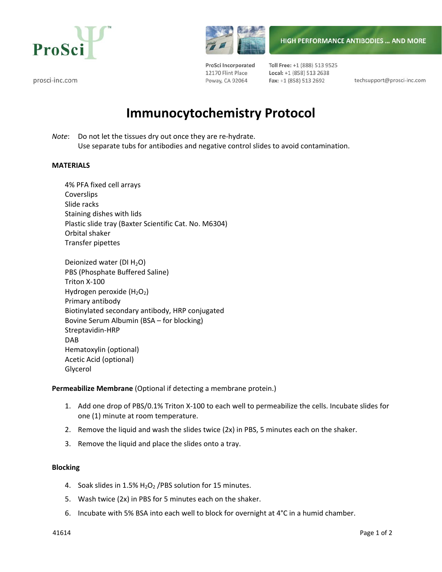

prosci-inc.com



ProSci Incorporated 12170 Flint Place Poway, CA 92064

Toll Free: +1 (888) 513 9525 Local: +1 (858) 513 2638 Fax: +1 (858) 513 2692

techsupport@prosci-inc.com

# **Immunocytochemistry Protocol**

*Note*: Do not let the tissues dry out once they are re-hydrate. Use separate tubs for antibodies and negative control slides to avoid contamination.

# **MATERIALS**

4% PFA fixed cell arrays Coverslips Slide racks Staining dishes with lids Plastic slide tray (Baxter Scientific Cat. No. M6304) Orbital shaker Transfer pipettes

Deionized water (DI  $H_2O$ ) PBS (Phosphate Buffered Saline) Triton X‐100 Hydrogen peroxide  $(H<sub>2</sub>O<sub>2</sub>)$ Primary antibody Biotinylated secondary antibody, HRP conjugated Bovine Serum Albumin (BSA – for blocking) Streptavidin‐HRP DAB Hematoxylin (optional) Acetic Acid (optional) Glycerol

**Permeabilize Membrane** (Optional if detecting a membrane protein.)

- 1. Add one drop of PBS/0.1% Triton X‐100 to each well to permeabilize the cells. Incubate slides for one (1) minute at room temperature.
- 2. Remove the liquid and wash the slides twice (2x) in PBS, 5 minutes each on the shaker.
- 3. Remove the liquid and place the slides onto a tray.

#### **Blocking**

- 4. Soak slides in 1.5%  $H_2O_2$  /PBS solution for 15 minutes.
- 5. Wash twice (2x) in PBS for 5 minutes each on the shaker.
- 6. Incubate with 5% BSA into each well to block for overnight at 4°C in a humid chamber.